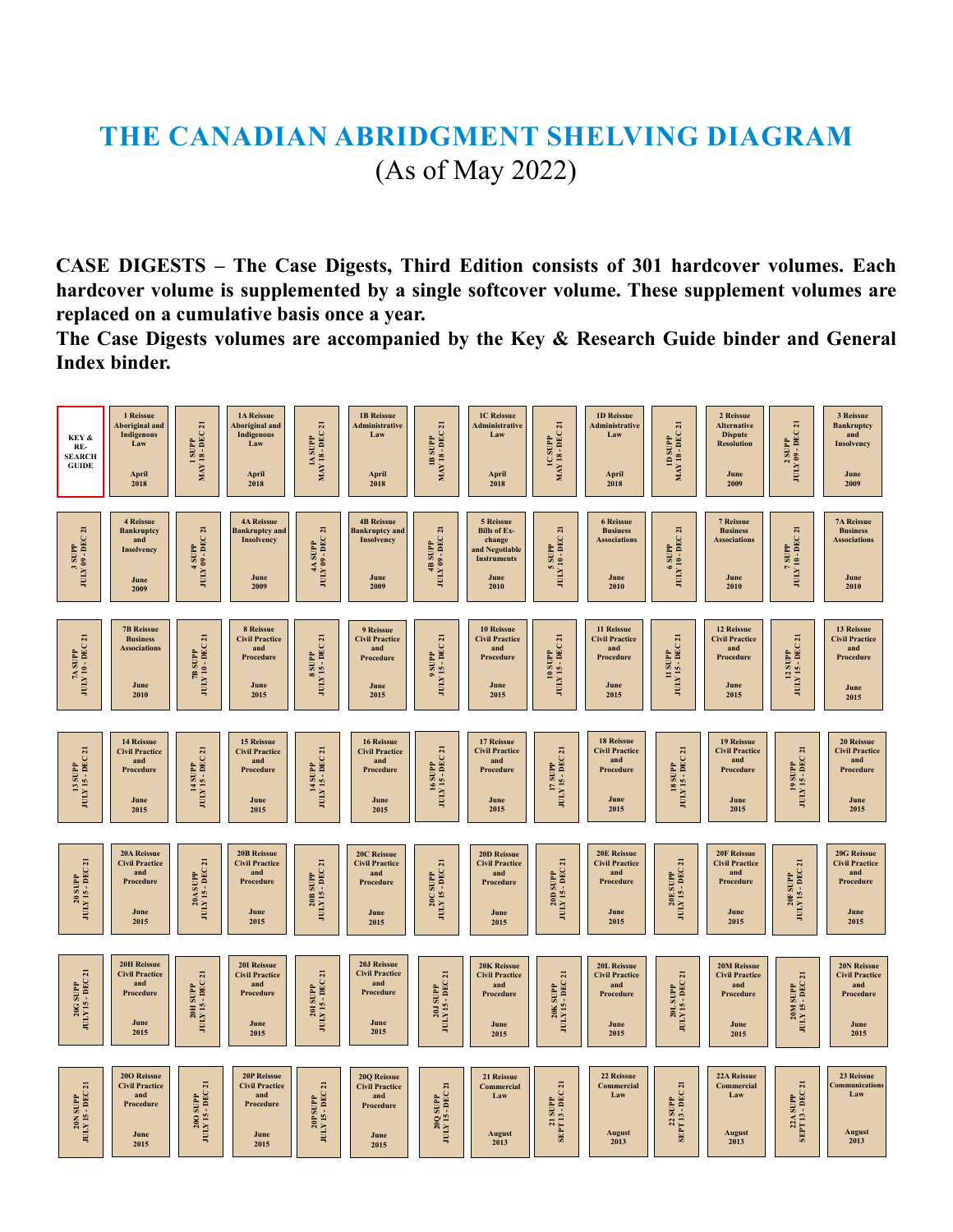## **THE CANADIAN ABRIDGMENT SHELVING DIAGRAM** (As of May 2022)

**CASE DIGESTS – The Case Digests, Third Edition consists of 301 hardcover volumes. Each hardcover volume is supplemented by a single softcover volume. These supplement volumes are replaced on a cumulative basis once a year.** 

**The Case Digests volumes are accompanied by the Key & Research Guide binder and General Index binder.** 

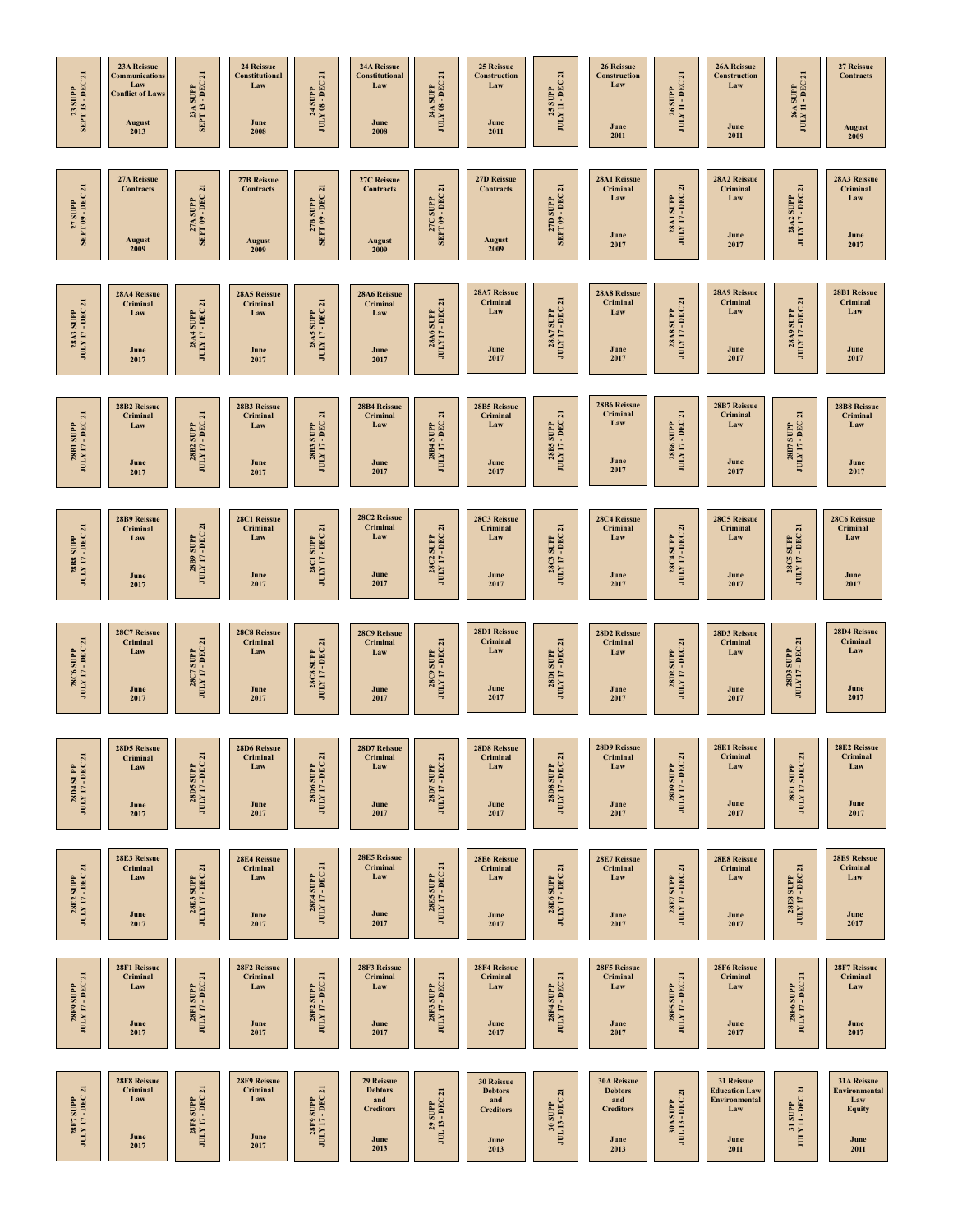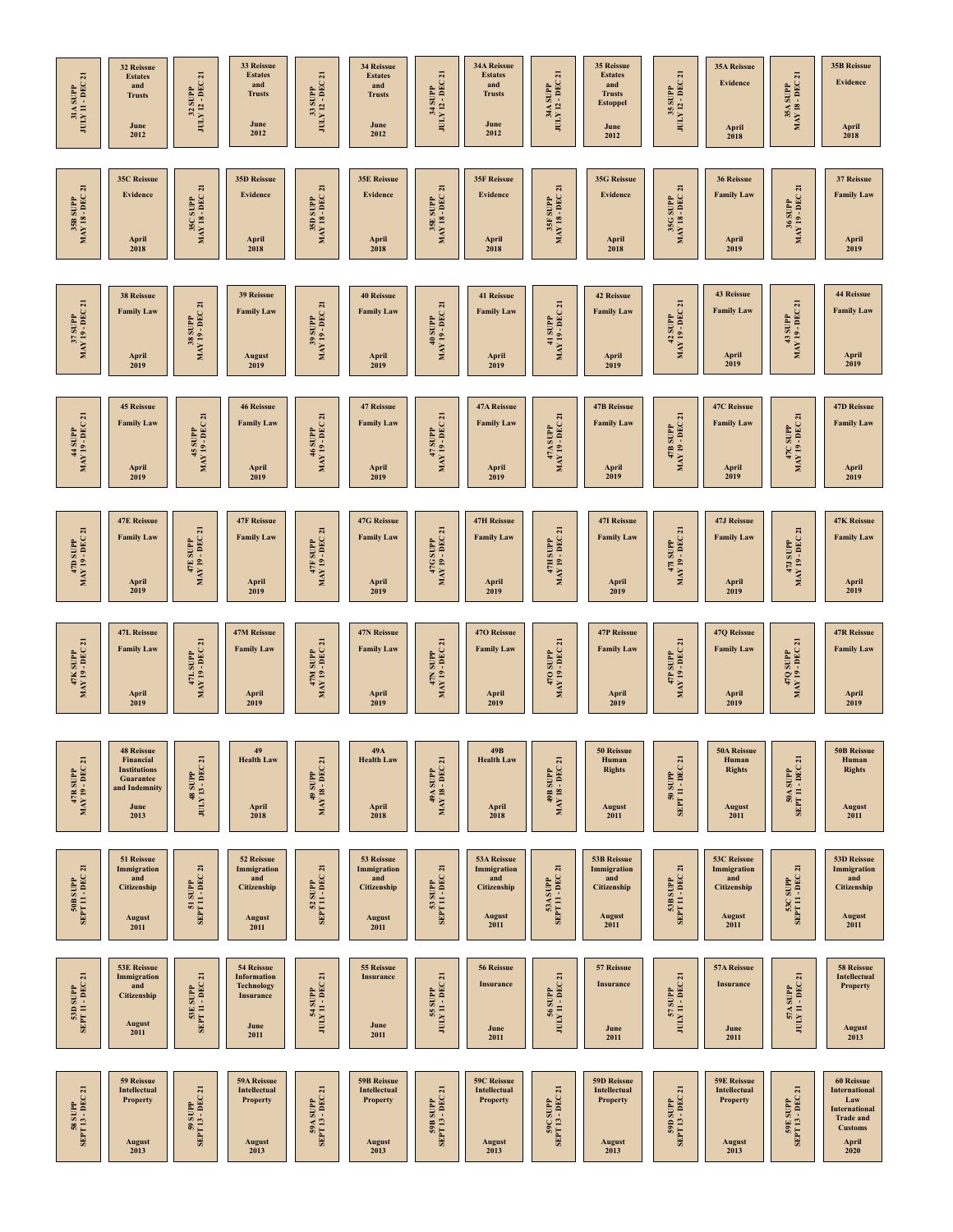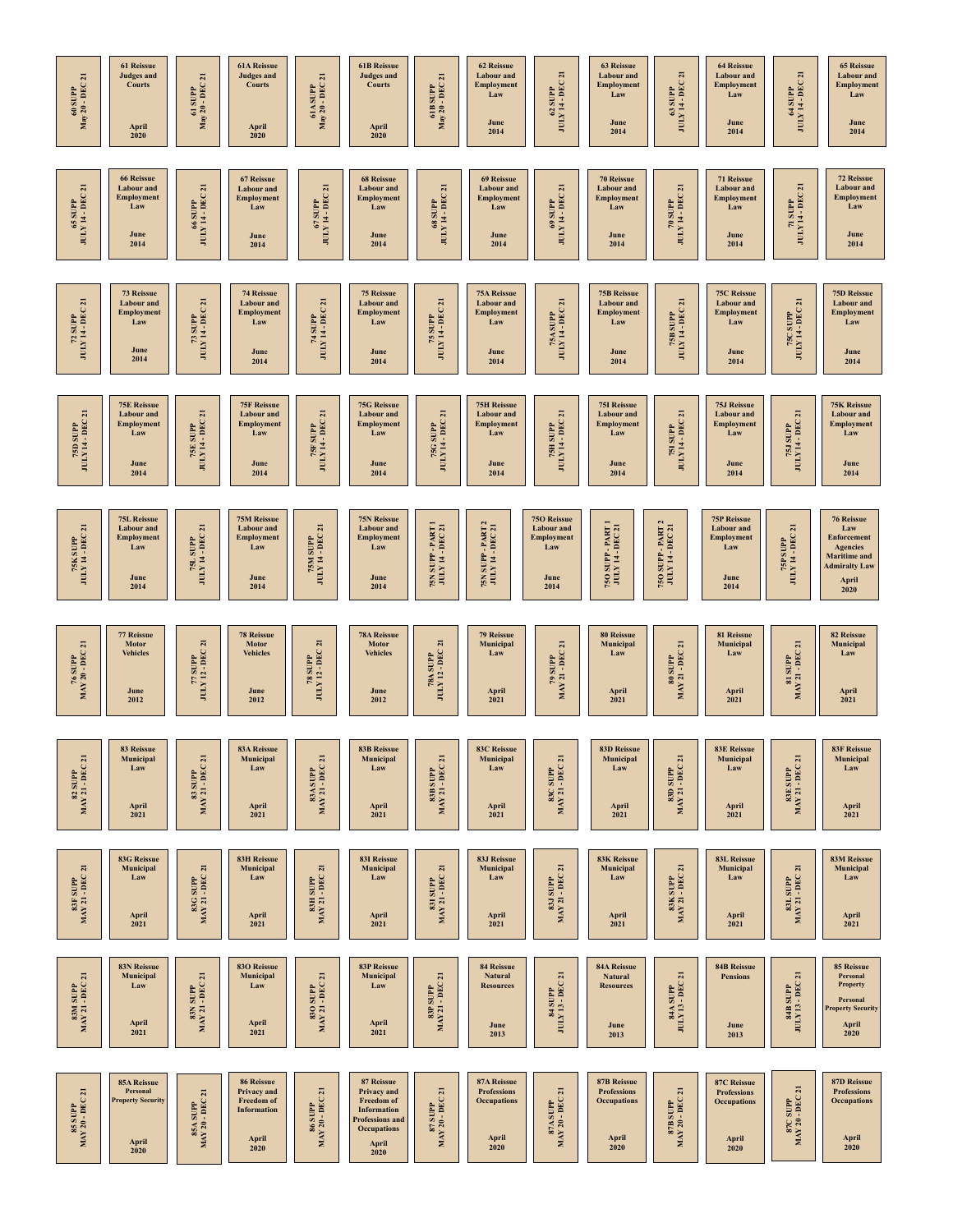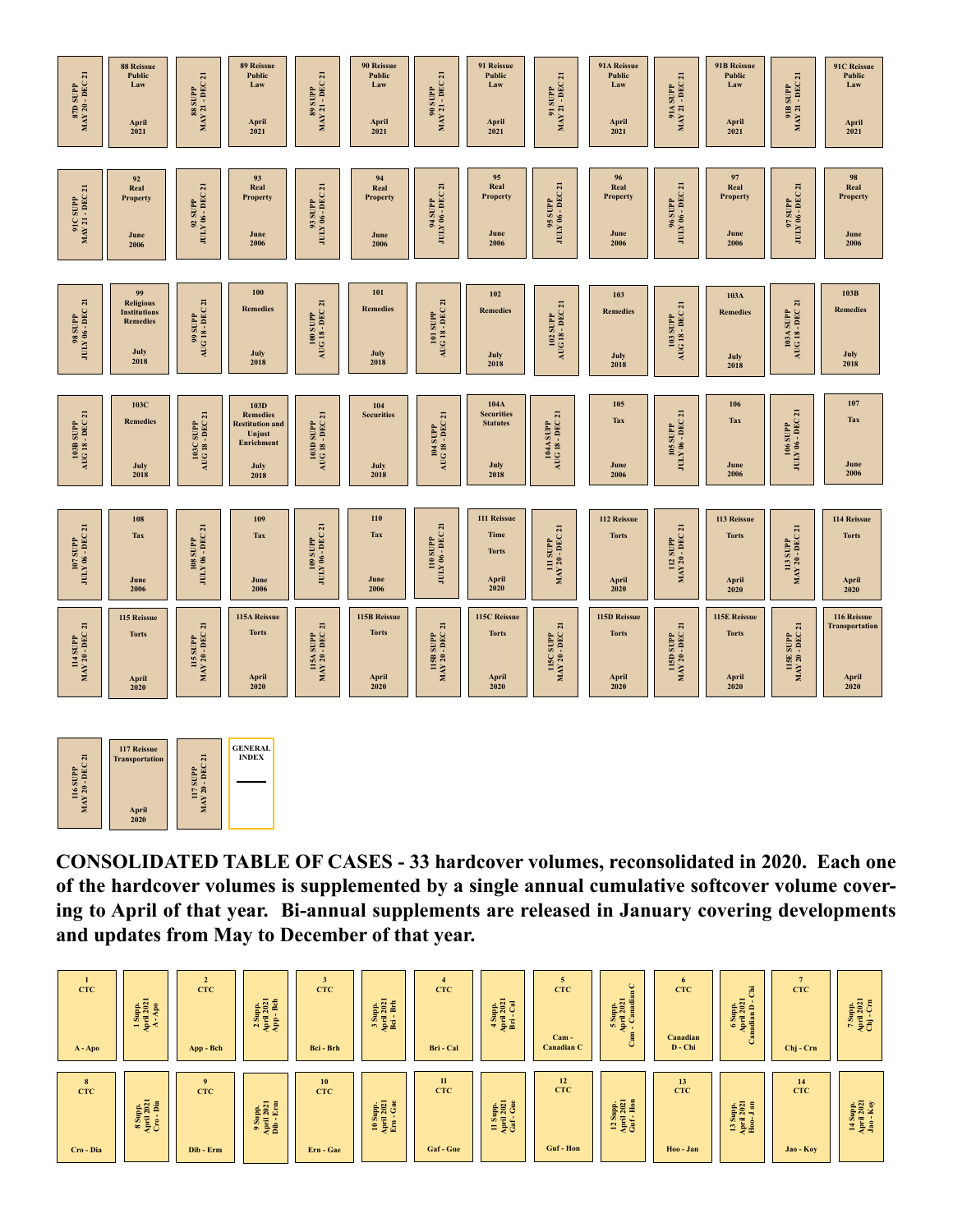



**CONSOLIDATED TABLE OF CASES - 33 hardcover volumes, reconsolidated in 2020. Each one of the hardcover volumes is supplemented by a single annual cumulative softcover volume covering to April of that year. Bi-annual supplements are released in January covering developments and updates from May to December of that year.**

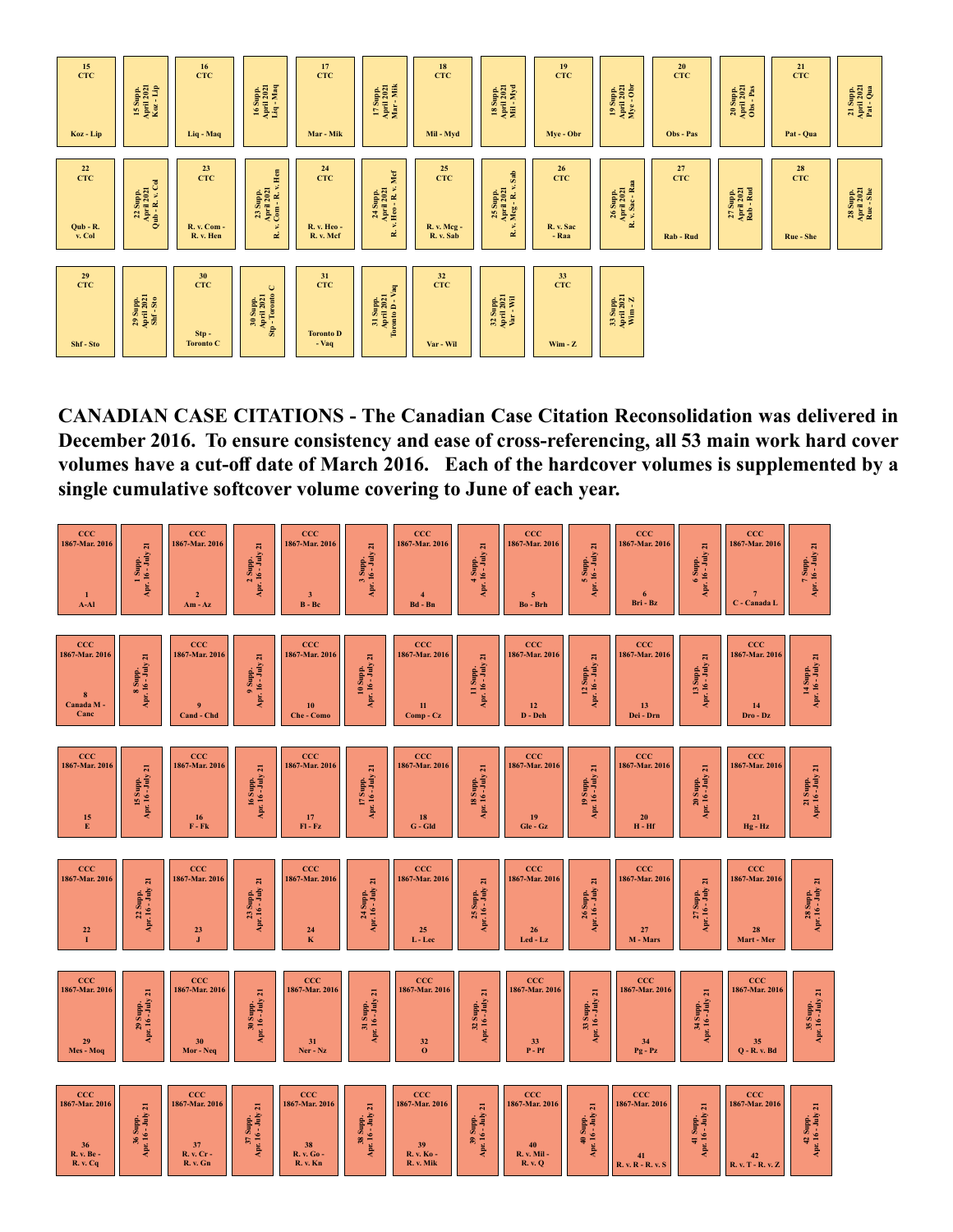

**CANADIAN CASE CITATIONS - The Canadian Case Citation Reconsolidation was delivered in December 2016. To ensure consistency and ease of cross-referencing, all 53 main work hard cover volumes have a cut-off date of March 2016. Each of the hardcover volumes is supplemented by a single cumulative softcover volume covering to June of each year.**

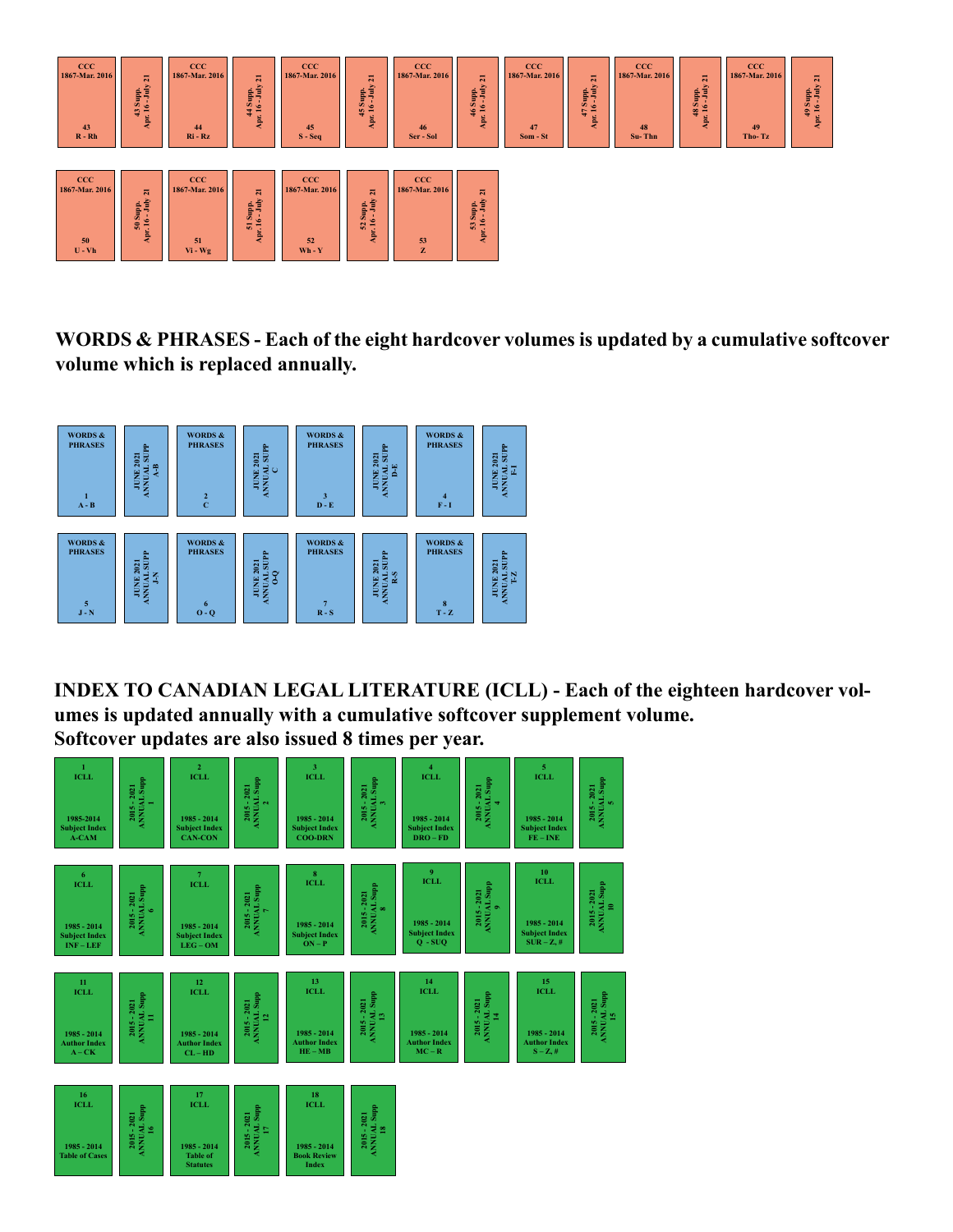

**WORDS & PHRASES - Each of the eight hardcover volumes is updated by a cumulative softcover volume which is replaced annually.** 



**INDEX TO CANADIAN LEGAL LITERATURE (ICLL) - Each of the eighteen hardcover volumes is updated annually with a cumulative softcover supplement volume. Softcover updates are also issued 8 times per year.**